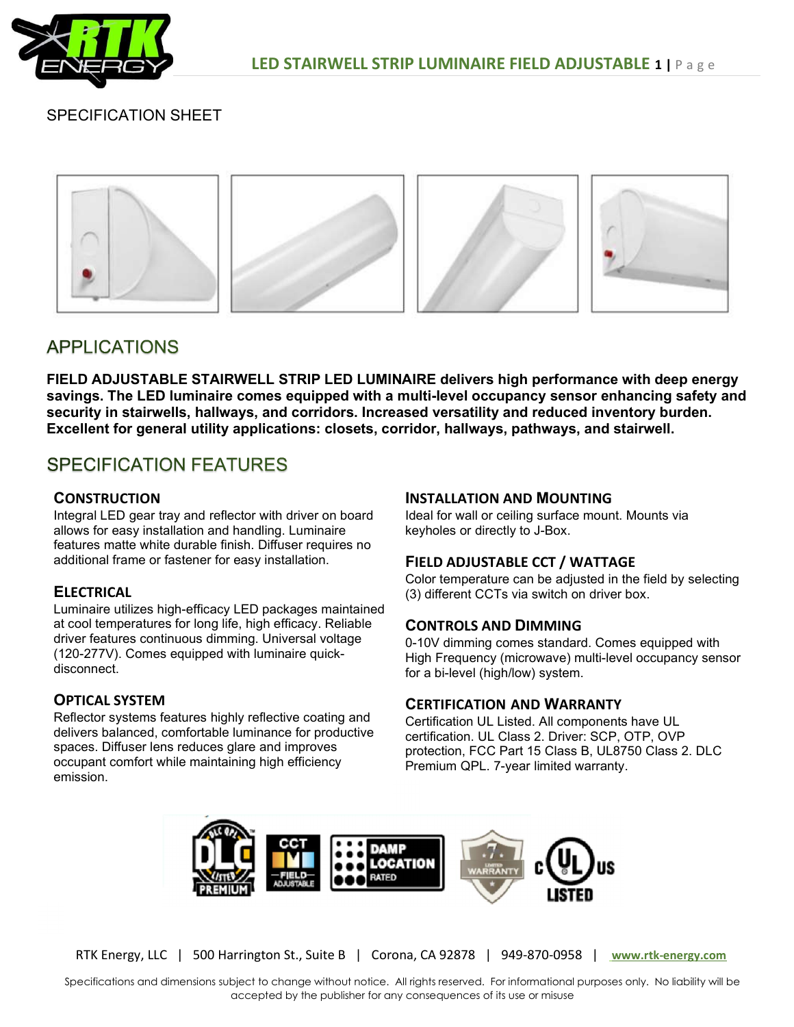

# SPECIFICATION SHEET



# **APPLICATIONS**

FIELD ADJUSTABLE STAIRWELL STRIP LED LUMINAIRE delivers high performance with deep energy savings. The LED luminaire comes equipped with a multi-level occupancy sensor enhancing safety and security in stairwells, hallways, and corridors. Increased versatility and reduced inventory burden. Excellent for general utility applications: closets, corridor, hallways, pathways, and stairwell.

# **SPECIFICATION FEATURES**

## **CONSTRUCTION**

Integral LED gear tray and reflector with driver on board allows for easy installation and handling. Luminaire features matte white durable finish. Diffuser requires no additional frame or fastener for easy installation.

## **ELECTRICAL**

Luminaire utilizes high-efficacy LED packages maintained at cool temperatures for long life, high efficacy. Reliable driver features continuous dimming. Universal voltage (120-277V). Comes equipped with luminaire quickdisconnect.

# OPTICAL SYSTEM

Reflector systems features highly reflective coating and delivers balanced, comfortable luminance for productive spaces. Diffuser lens reduces glare and improves occupant comfort while maintaining high efficiency emission.

#### INSTALLATION AND MOUNTING

Ideal for wall or ceiling surface mount. Mounts via keyholes or directly to J-Box.

## FIELD ADJUSTABLE CCT / WATTAGE

Color temperature can be adjusted in the field by selecting (3) different CCTs via switch on driver box.

## CONTROLS AND DIMMING

0-10V dimming comes standard. Comes equipped with High Frequency (microwave) multi-level occupancy sensor for a bi-level (high/low) system.

## CERTIFICATION AND WARRANTY

Certification UL Listed. All components have UL certification. UL Class 2. Driver: SCP, OTP, OVP protection, FCC Part 15 Class B, UL8750 Class 2. DLC Premium QPL. 7-year limited warranty.



RTK Energy, LLC | 500 Harrington St., Suite B | Corona, CA 92878 | 949-870-0958 | www.rtk-energy.com

Specifications and dimensions subject to change without notice. All rights reserved. For informational purposes only. No liability will be accepted by the publisher for any consequences of its use or misuse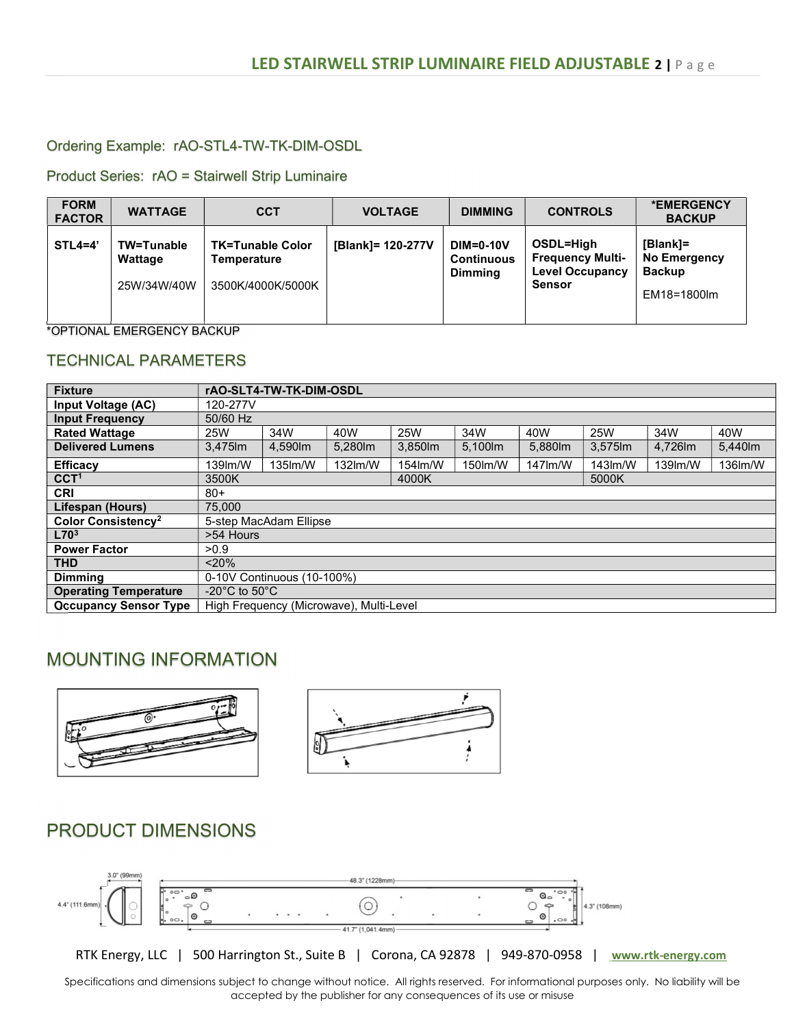## Ordering Example: rAO-STL4-TW-TK-DIM-OSDL

Product Series: rAO = Stairwell Strip Luminaire

| <b>FORM</b><br><b>FACTOR</b> | <b>WATTAGE</b>                       | <b>CCT</b>                                                  | <b>VOLTAGE</b>    | <b>DIMMING</b>                                          | <b>CONTROLS</b>                                                                 | *EMERGENCY<br><b>BACKUP</b>                              |
|------------------------------|--------------------------------------|-------------------------------------------------------------|-------------------|---------------------------------------------------------|---------------------------------------------------------------------------------|----------------------------------------------------------|
| $STL4=4'$                    | TW=Tunable<br>Wattage<br>25W/34W/40W | <b>TK=Tunable Color</b><br>Temperature<br>3500K/4000K/5000K | [Blank]= 120-277V | <b>DIM=0-10V</b><br><b>Continuous</b><br><b>Dimming</b> | OSDL=High<br><b>Frequency Multi-</b><br><b>Level Occupancy</b><br><b>Sensor</b> | [Blank]=<br>No Emergency<br><b>Backup</b><br>EM18=1800lm |

\*OPTIONAL EMERGENCY BACKUP

## TECHNICAL PARAMETERS

| <b>Fixture</b>                 |                                     | rAO-SLT4-TW-TK-DIM-OSDL                 |         |         |         |         |           |         |         |
|--------------------------------|-------------------------------------|-----------------------------------------|---------|---------|---------|---------|-----------|---------|---------|
| Input Voltage (AC)             | 120-277V                            |                                         |         |         |         |         |           |         |         |
| <b>Input Frequency</b>         | 50/60 Hz                            |                                         |         |         |         |         |           |         |         |
| <b>Rated Wattage</b>           | 25W                                 | 34W                                     | 40W     | 25W     | 34W     | 40W     | 25W       | 34W     | 40W     |
| <b>Delivered Lumens</b>        | 3,475lm                             | 4,590 lm                                | 5,280lm | 3.850lm | 5.100m  | 5,880lm | 3.575 lm  | 4.726lm | 5,440lm |
| <b>Efficacy</b>                | 139m/W                              | 135lm/W                                 | 132lm/W | 154lm/W | 150lm/W | 147lm/W | $143$ m/W | 139m/W  | 136lm/W |
| CCT <sup>1</sup>               | 3500K<br>4000K<br>5000K             |                                         |         |         |         |         |           |         |         |
| <b>CRI</b>                     | $80+$                               |                                         |         |         |         |         |           |         |         |
| Lifespan (Hours)               | 75,000                              |                                         |         |         |         |         |           |         |         |
| Color Consistency <sup>2</sup> |                                     | 5-step MacAdam Ellipse                  |         |         |         |         |           |         |         |
| L70 <sup>3</sup>               | >54 Hours                           |                                         |         |         |         |         |           |         |         |
| <b>Power Factor</b>            | >0.9                                |                                         |         |         |         |         |           |         |         |
| <b>THD</b>                     | < 20%                               |                                         |         |         |         |         |           |         |         |
| <b>Dimmina</b>                 | 0-10V Continuous (10-100%)          |                                         |         |         |         |         |           |         |         |
| <b>Operating Temperature</b>   | -20 $^{\circ}$ C to 50 $^{\circ}$ C |                                         |         |         |         |         |           |         |         |
| <b>Occupancy Sensor Type</b>   |                                     | High Frequency (Microwave), Multi-Level |         |         |         |         |           |         |         |

# MOUNTING INFORMATION





# PRODUCT DIMENSIONS



RTK Energy, LLC | 500 Harrington St., Suite B | Corona, CA 92878 | 949-870-0958 | www.rtk-energy.com

Specifications and dimensions subject to change without notice. All rights reserved. For informational purposes only. No liability will be accepted by the publisher for any consequences of its use or misuse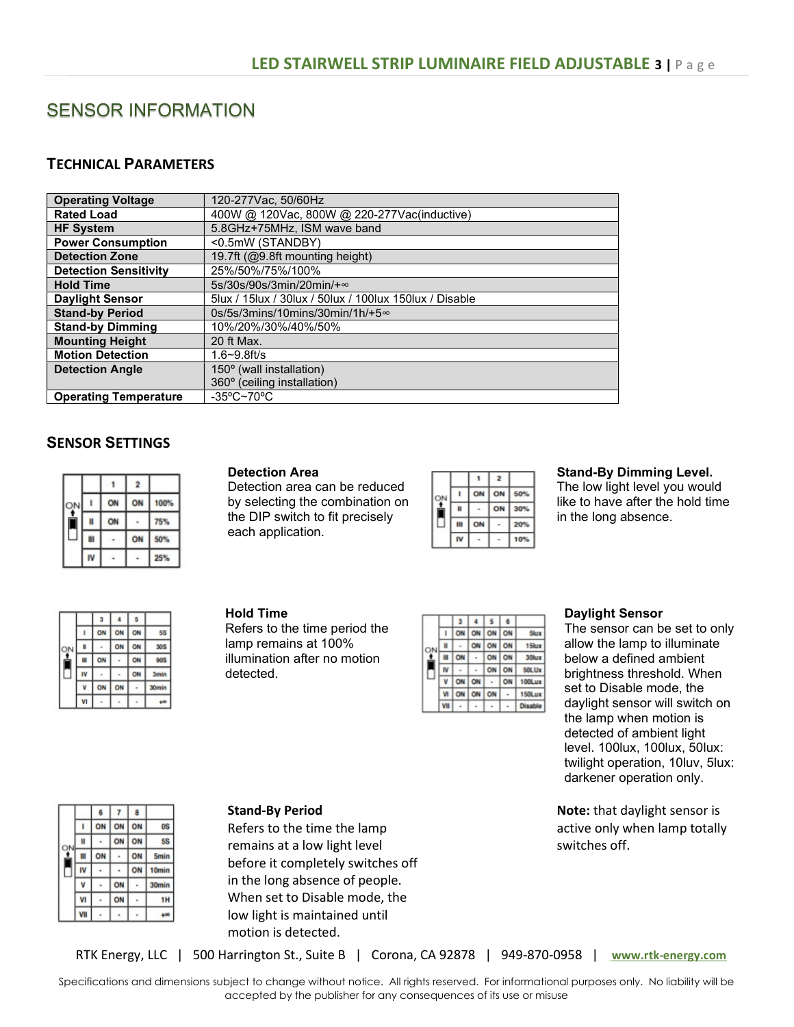# SENSOR INFORMATION

## TECHNICAL PARAMETERS

| <b>Operating Voltage</b>     | 120-277 Vac, 50/60 Hz                                        |
|------------------------------|--------------------------------------------------------------|
| <b>Rated Load</b>            | 400W @ 120Vac, 800W @ 220-277Vac(inductive)                  |
| <b>HF System</b>             | 5.8GHz+75MHz, ISM wave band                                  |
| <b>Power Consumption</b>     | <0.5mW (STANDBY)                                             |
| <b>Detection Zone</b>        | 19.7ft (@9.8ft mounting height)                              |
| <b>Detection Sensitivity</b> | 25%/50%/75%/100%                                             |
| <b>Hold Time</b>             | $5s/30s/90s/3min/20min/+$                                    |
| <b>Daylight Sensor</b>       | 5 Jux / 15 Jux / 30 Jux / 50 Jux / 100 Jux 150 Jux / Disable |
| <b>Stand-by Period</b>       | 0s/5s/3mins/10mins/30min/1h/+5∞                              |
| <b>Stand-by Dimming</b>      | 10%/20%/30%/40%/50%                                          |
| <b>Mounting Height</b>       | 20 ft Max.                                                   |
| <b>Motion Detection</b>      | $1.6 - 9.8$ ft/s                                             |
| <b>Detection Angle</b>       | 150° (wall installation)                                     |
|                              | 360° (ceiling installation)                                  |
| <b>Operating Temperature</b> | $-35^{\circ}$ C~70 $^{\circ}$ C                              |

# SENSOR SETTINGS

|    |    |    | $\overline{2}$ |      |
|----|----|----|----------------|------|
| ОN |    | ON | ON             | 100% |
|    | Ħ  | ON |                | 75%  |
|    | Ш  |    | ON             | 50%  |
|    | ٨V |    |                | 25%  |

#### Detection Area

Detection area can be reduced by selecting the combination on the DIP switch to fit precisely each application.

|  |   |    | 2  |     |
|--|---|----|----|-----|
|  |   | ON | ON | 50% |
|  | Ħ |    | ON | 30% |
|  | Ш | ON |    | 20% |
|  |   |    |    |     |

#### Stand-By Dimming Level.

The low light level you would like to have after the hold time in the long absence.

|   |    |    | 5  |                   |
|---|----|----|----|-------------------|
|   | ON | ON | ٦N | 58                |
| H |    | ON | ON | 309               |
| Ш |    |    | O٨ | 909               |
|   |    |    | ON | <b>3min</b>       |
|   |    |    |    | 30 <sub>min</sub> |
|   |    |    |    | ۰                 |

#### Hold Time

Refers to the time period the lamp remains at 100% illumination after no motion detected.

|   |   |  |    | ON | Slora  |
|---|---|--|----|----|--------|
| v | Ħ |  |    | ON | 15lux  |
|   | Ħ |  | ON | ON | 30lux  |
|   |   |  | ON | ON | 50LUx  |
|   |   |  |    |    | 100Lux |
|   |   |  | ON |    | 150Lux |
|   |   |  |    |    |        |

#### Daylight Sensor

The sensor can be set to only allow the lamp to illuminate below a defined ambient brightness threshold. When set to Disable mode, the daylight sensor will switch on the lamp when motion is detected of ambient light level. 100lux, 100lux, 50lux: twilight operation, 10luv, 5lux: darkener operation only.

Note: that daylight sensor is active only when lamp totally switches off.

|   | 6  |    | 8  |             |
|---|----|----|----|-------------|
|   |    | ON | ON | 0S          |
| Ħ |    | ON | ON | 5\$         |
| Ш | ON |    | ON | <b>5min</b> |
|   |    |    | ON | Omin        |
|   |    | ON |    | 30min       |
| ı |    | ON |    | ١H          |
|   |    |    |    |             |

#### Stand-By Period

Refers to the time the lamp remains at a low light level before it completely switches off in the long absence of people. When set to Disable mode, the low light is maintained until motion is detected.

RTK Energy, LLC | 500 Harrington St., Suite B | Corona, CA 92878 | 949-870-0958 | www.rtk-energy.com

Specifications and dimensions subject to change without notice. All rights reserved. For informational purposes only. No liability will be accepted by the publisher for any consequences of its use or misuse